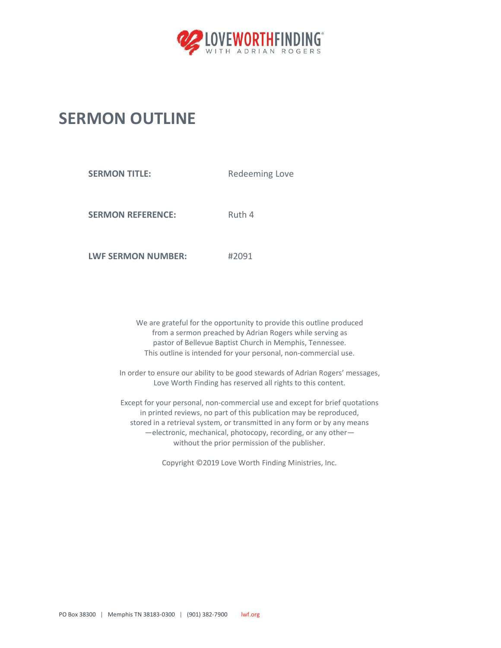

## **SERMON OUTLINE**

**SERMON TITLE:** Redeeming Love

**SERMON REFERENCE:** Ruth 4

**LWF SERMON NUMBER:** #2091

We are grateful for the opportunity to provide this outline produced from a sermon preached by Adrian Rogers while serving as pastor of Bellevue Baptist Church in Memphis, Tennessee. This outline is intended for your personal, non-commercial use.

In order to ensure our ability to be good stewards of Adrian Rogers' messages, Love Worth Finding has reserved all rights to this content.

Except for your personal, non-commercial use and except for brief quotations in printed reviews, no part of this publication may be reproduced, stored in a retrieval system, or transmitted in any form or by any means —electronic, mechanical, photocopy, recording, or any other without the prior permission of the publisher.

Copyright ©2019 Love Worth Finding Ministries, Inc.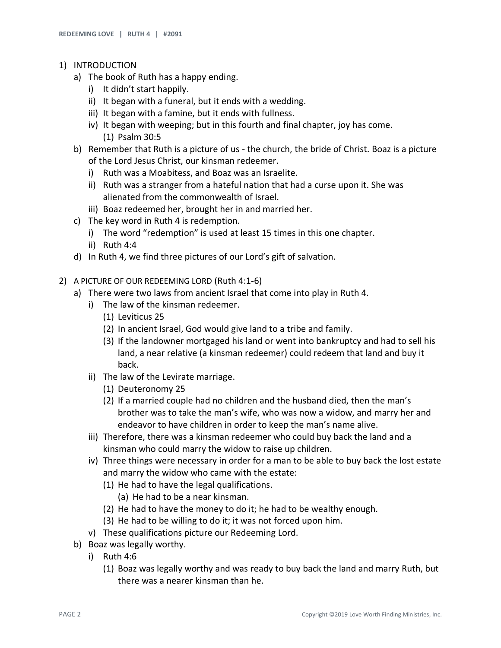- 1) INTRODUCTION
	- a) The book of Ruth has a happy ending.
		- i) It didn't start happily.
		- ii) It began with a funeral, but it ends with a wedding.
		- iii) It began with a famine, but it ends with fullness.
		- iv) It began with weeping; but in this fourth and final chapter, joy has come. (1) Psalm 30:5
	- b) Remember that Ruth is a picture of us the church, the bride of Christ. Boaz is a picture of the Lord Jesus Christ, our kinsman redeemer.
		- i) Ruth was a Moabitess, and Boaz was an Israelite.
		- ii) Ruth was a stranger from a hateful nation that had a curse upon it. She was alienated from the commonwealth of Israel.
		- iii) Boaz redeemed her, brought her in and married her.
	- c) The key word in Ruth 4 is redemption.
		- i) The word "redemption" is used at least 15 times in this one chapter.
		- ii) Ruth 4:4
	- d) In Ruth 4, we find three pictures of our Lord's gift of salvation.
- 2) A PICTURE OF OUR REDEEMING LORD (Ruth 4:1-6)
	- a) There were two laws from ancient Israel that come into play in Ruth 4.
		- i) The law of the kinsman redeemer.
			- (1) Leviticus 25
			- (2) In ancient Israel, God would give land to a tribe and family.
			- (3) If the landowner mortgaged his land or went into bankruptcy and had to sell his land, a near relative (a kinsman redeemer) could redeem that land and buy it back.
		- ii) The law of the Levirate marriage.
			- (1) Deuteronomy 25
			- (2) If a married couple had no children and the husband died, then the man's brother was to take the man's wife, who was now a widow, and marry her and endeavor to have children in order to keep the man's name alive.
		- iii) Therefore, there was a kinsman redeemer who could buy back the land and a kinsman who could marry the widow to raise up children.
		- iv) Three things were necessary in order for a man to be able to buy back the lost estate and marry the widow who came with the estate:
			- (1) He had to have the legal qualifications.
				- (a) He had to be a near kinsman.
			- (2) He had to have the money to do it; he had to be wealthy enough.
			- (3) He had to be willing to do it; it was not forced upon him.
		- v) These qualifications picture our Redeeming Lord.
	- b) Boaz was legally worthy.
		- i) Ruth 4:6
			- (1) Boaz was legally worthy and was ready to buy back the land and marry Ruth, but there was a nearer kinsman than he.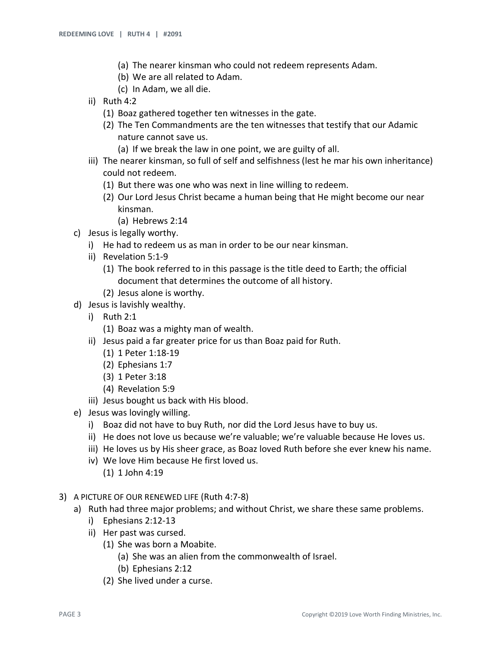- (a) The nearer kinsman who could not redeem represents Adam.
- (b) We are all related to Adam.
- (c) In Adam, we all die.
- ii) Ruth 4:2
	- (1) Boaz gathered together ten witnesses in the gate.
	- (2) The Ten Commandments are the ten witnesses that testify that our Adamic nature cannot save us.
		- (a) If we break the law in one point, we are guilty of all.
- iii) The nearer kinsman, so full of self and selfishness (lest he mar his own inheritance) could not redeem.
	- (1) But there was one who was next in line willing to redeem.
	- (2) Our Lord Jesus Christ became a human being that He might become our near kinsman.
		- (a) Hebrews 2:14
- c) Jesus is legally worthy.
	- i) He had to redeem us as man in order to be our near kinsman.
	- ii) Revelation 5:1-9
		- (1) The book referred to in this passage is the title deed to Earth; the official document that determines the outcome of all history.
		- (2) Jesus alone is worthy.
- d) Jesus is lavishly wealthy.
	- i) Ruth 2:1
		- (1) Boaz was a mighty man of wealth.
	- ii) Jesus paid a far greater price for us than Boaz paid for Ruth.
		- (1) 1 Peter 1:18-19
		- (2) Ephesians 1:7
		- (3) 1 Peter 3:18
		- (4) Revelation 5:9
	- iii) Jesus bought us back with His blood.
- e) Jesus was lovingly willing.
	- i) Boaz did not have to buy Ruth, nor did the Lord Jesus have to buy us.
	- ii) He does not love us because we're valuable; we're valuable because He loves us.
	- iii) He loves us by His sheer grace, as Boaz loved Ruth before she ever knew his name.
	- iv) We love Him because He first loved us.
		- (1) 1 John 4:19
- 3) A PICTURE OF OUR RENEWED LIFE (Ruth 4:7-8)
	- a) Ruth had three major problems; and without Christ, we share these same problems.
		- i) Ephesians 2:12-13
		- ii) Her past was cursed.
			- (1) She was born a Moabite.
				- (a) She was an alien from the commonwealth of Israel.
				- (b) Ephesians 2:12
			- (2) She lived under a curse.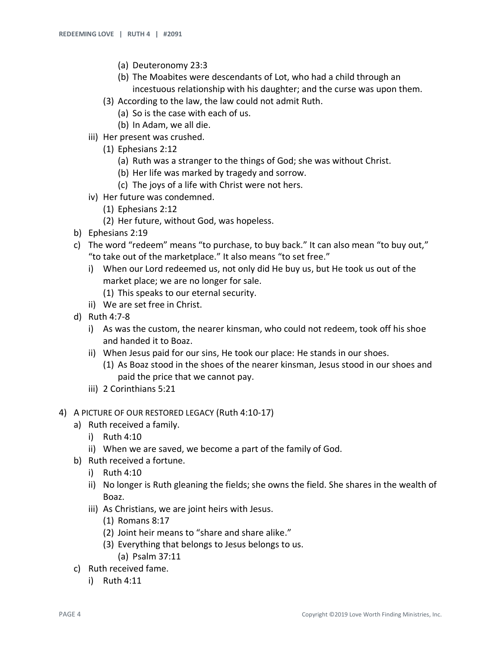- (a) Deuteronomy 23:3
- (b) The Moabites were descendants of Lot, who had a child through an incestuous relationship with his daughter; and the curse was upon them.
- (3) According to the law, the law could not admit Ruth.
	- (a) So is the case with each of us.
	- (b) In Adam, we all die.
- iii) Her present was crushed.
	- (1) Ephesians 2:12
		- (a) Ruth was a stranger to the things of God; she was without Christ.
		- (b) Her life was marked by tragedy and sorrow.
		- (c) The joys of a life with Christ were not hers.
- iv) Her future was condemned.
	- (1) Ephesians 2:12
	- (2) Her future, without God, was hopeless.
- b) Ephesians 2:19
- c) The word "redeem" means "to purchase, to buy back." It can also mean "to buy out," "to take out of the marketplace." It also means "to set free."
	- i) When our Lord redeemed us, not only did He buy us, but He took us out of the market place; we are no longer for sale.
		- (1) This speaks to our eternal security.
	- ii) We are set free in Christ.
- d) Ruth 4:7-8
	- i) As was the custom, the nearer kinsman, who could not redeem, took off his shoe and handed it to Boaz.
	- ii) When Jesus paid for our sins, He took our place: He stands in our shoes.
		- (1) As Boaz stood in the shoes of the nearer kinsman, Jesus stood in our shoes and paid the price that we cannot pay.
	- iii) 2 Corinthians 5:21
- 4) A PICTURE OF OUR RESTORED LEGACY (Ruth 4:10-17)
	- a) Ruth received a family.
		- i) Ruth 4:10
		- ii) When we are saved, we become a part of the family of God.
	- b) Ruth received a fortune.
		- i) Ruth 4:10
		- ii) No longer is Ruth gleaning the fields; she owns the field. She shares in the wealth of Boaz.
		- iii) As Christians, we are joint heirs with Jesus.
			- (1) Romans 8:17
			- (2) Joint heir means to "share and share alike."
			- (3) Everything that belongs to Jesus belongs to us. (a) Psalm 37:11
	- c) Ruth received fame.
		- i) Ruth 4:11